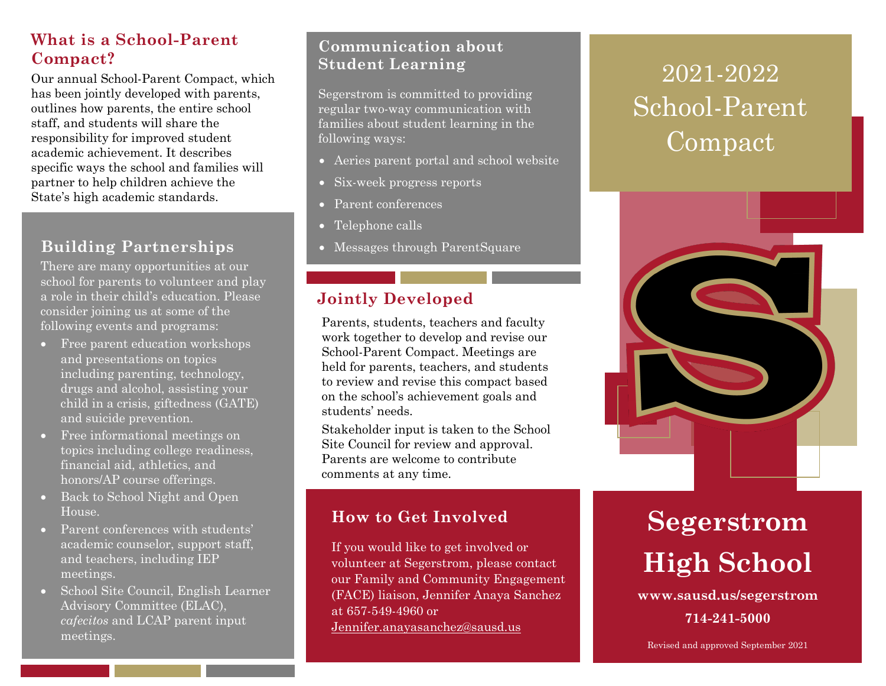## **What is a School-Parent Compact?**

Our annual School-Parent Compact, which has been jointly developed with parents, outlines how parents, the entire school staff, and students will share the responsibility for improved student academic achievement. It describes specific ways the school and families will partner to help children achieve the State's high academic standards.

## **Building Partnerships**

There are many opportunities at our school for parents to volunteer and play a role in their child's education. Please consider joining us at some of the following events and programs:

- Free parent education workshops and presentations on topics including parenting, technology, drugs and alcohol, assisting your child in a crisis, giftedness (GATE) and suicide prevention.
- Free informational meetings on topics including college readiness, financial aid, athletics, and honors/AP course offerings.
- Back to School Night and Open House.
- Parent conferences with students' academic counselor, support staff, and teachers, including IEP meetings.
- School Site Council, English Learner Advisory Committee (ELAC), *cafecitos* and LCAP parent input meetings.

### **Communication about Student Learning**

Segerstrom is committed to providing regular two-way communication with families about student learning in the following ways:

- Aeries parent portal and school website
- Six-week progress reports
- Parent conferences
- Telephone calls
- Messages through ParentSquare

## **Jointly Developed**

Parents, students, teachers and faculty work together to develop and revise our School-Parent Compact. Meetings are held for parents, teachers, and students to review and revise this compact based on the school's achievement goals and students' needs.

Stakeholder input is taken to the School Site Council for review and approval. Parents are welcome to contribute comments at any time.

## **How to Get Involved**

If you would like to get involved or volunteer at Segerstrom, please contact our Family and Community Engagement (FACE) liaison, Jennifer Anaya Sanchez at 657-549-4960 or [Jennifer.anayasanchez@sausd.us](mailto:Jennifer.anayasanchez@sausd.us)

## 2021-2022 School-Parent Compact



# **Segerstrom High School**

**www.sausd.us/segerstrom 714-241-5000**